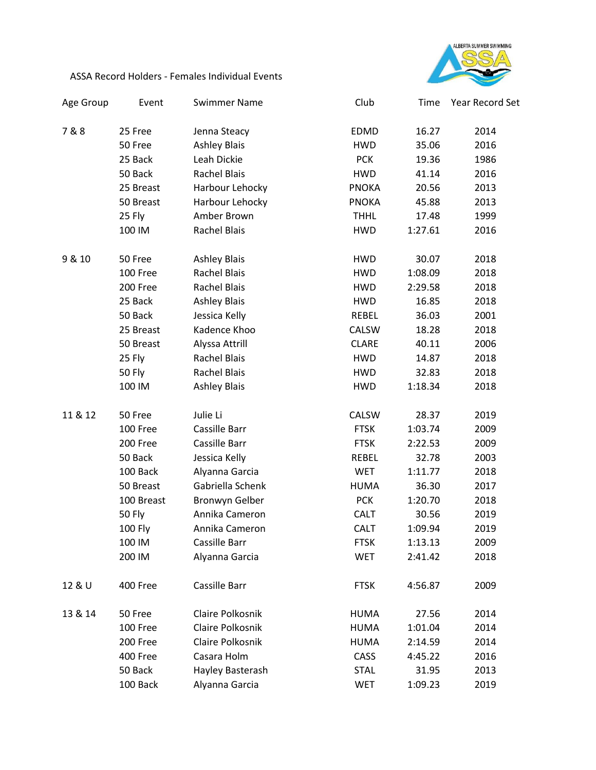

## ASSA Record Holders - Females Individual Events

| Age Group | Event         | <b>Swimmer Name</b>   | Club         | Time    | Year Record Set |
|-----------|---------------|-----------------------|--------------|---------|-----------------|
| 7&8       | 25 Free       | Jenna Steacy          | <b>EDMD</b>  | 16.27   | 2014            |
|           | 50 Free       | <b>Ashley Blais</b>   | <b>HWD</b>   | 35.06   | 2016            |
|           | 25 Back       | Leah Dickie           | <b>PCK</b>   | 19.36   | 1986            |
|           | 50 Back       | <b>Rachel Blais</b>   | <b>HWD</b>   | 41.14   | 2016            |
|           | 25 Breast     | Harbour Lehocky       | <b>PNOKA</b> | 20.56   | 2013            |
|           | 50 Breast     | Harbour Lehocky       | <b>PNOKA</b> | 45.88   | 2013            |
|           | 25 Fly        | Amber Brown           | <b>THHL</b>  | 17.48   | 1999            |
|           | 100 IM        | <b>Rachel Blais</b>   | <b>HWD</b>   | 1:27.61 | 2016            |
| 9 & 10    | 50 Free       | <b>Ashley Blais</b>   | <b>HWD</b>   | 30.07   | 2018            |
|           | 100 Free      | <b>Rachel Blais</b>   | <b>HWD</b>   | 1:08.09 | 2018            |
|           | 200 Free      | <b>Rachel Blais</b>   | <b>HWD</b>   | 2:29.58 | 2018            |
|           | 25 Back       | <b>Ashley Blais</b>   | <b>HWD</b>   | 16.85   | 2018            |
|           | 50 Back       | Jessica Kelly         | REBEL        | 36.03   | 2001            |
|           | 25 Breast     | Kadence Khoo          | CALSW        | 18.28   | 2018            |
|           | 50 Breast     | Alyssa Attrill        | <b>CLARE</b> | 40.11   | 2006            |
|           | 25 Fly        | <b>Rachel Blais</b>   | <b>HWD</b>   | 14.87   | 2018            |
|           | 50 Fly        | <b>Rachel Blais</b>   | <b>HWD</b>   | 32.83   | 2018            |
|           | 100 IM        | <b>Ashley Blais</b>   | <b>HWD</b>   | 1:18.34 | 2018            |
| 11 & 12   | 50 Free       | Julie Li              | CALSW        | 28.37   | 2019            |
|           | 100 Free      | Cassille Barr         | <b>FTSK</b>  | 1:03.74 | 2009            |
|           | 200 Free      | Cassille Barr         | <b>FTSK</b>  | 2:22.53 | 2009            |
|           | 50 Back       | Jessica Kelly         | REBEL        | 32.78   | 2003            |
|           | 100 Back      | Alyanna Garcia        | <b>WET</b>   | 1:11.77 | 2018            |
|           | 50 Breast     | Gabriella Schenk      | <b>HUMA</b>  | 36.30   | 2017            |
|           | 100 Breast    | <b>Bronwyn Gelber</b> | <b>PCK</b>   | 1:20.70 | 2018            |
|           | <b>50 Fly</b> | Annika Cameron        | <b>CALT</b>  | 30.56   | 2019            |
|           | 100 Fly       | Annika Cameron        | <b>CALT</b>  | 1:09.94 | 2019            |
|           | 100 IM        | Cassille Barr         | <b>FTSK</b>  | 1:13.13 | 2009            |
|           | 200 IM        | Alyanna Garcia        | <b>WET</b>   | 2:41.42 | 2018            |
| 12 & U    | 400 Free      | Cassille Barr         | <b>FTSK</b>  | 4:56.87 | 2009            |
| 13 & 14   | 50 Free       | Claire Polkosnik      | <b>HUMA</b>  | 27.56   | 2014            |
|           | 100 Free      | Claire Polkosnik      | <b>HUMA</b>  | 1:01.04 | 2014            |
|           | 200 Free      | Claire Polkosnik      | <b>HUMA</b>  | 2:14.59 | 2014            |
|           | 400 Free      | Casara Holm           | CASS         | 4:45.22 | 2016            |
|           | 50 Back       | Hayley Basterash      | <b>STAL</b>  | 31.95   | 2013            |
|           | 100 Back      | Alyanna Garcia        | <b>WET</b>   | 1:09.23 | 2019            |